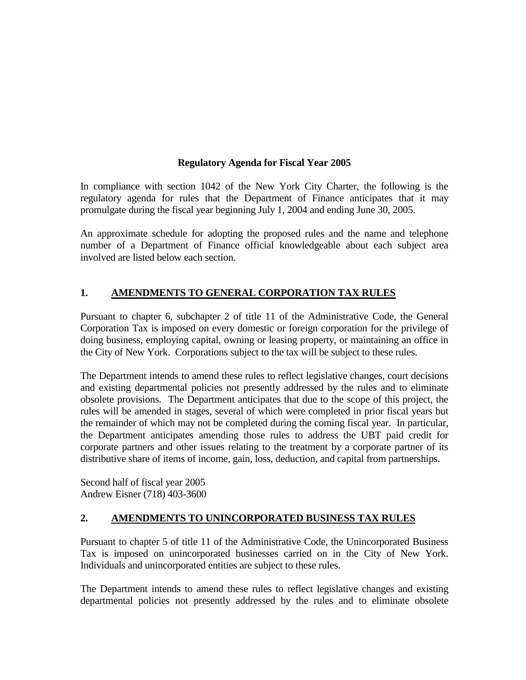#### **Regulatory Agenda for Fiscal Year 2005**

In compliance with section 1042 of the New York City Charter, the following is the regulatory agenda for rules that the Department of Finance anticipates that it may promulgate during the fiscal year beginning July 1, 2004 and ending June 30, 2005.

An approximate schedule for adopting the proposed rules and the name and telephone number of a Department of Finance official knowledgeable about each subject area involved are listed below each section.

# **1. AMENDMENTS TO GENERAL CORPORATION TAX RULES**

Pursuant to chapter 6, subchapter 2 of title 11 of the Administrative Code, the General Corporation Tax is imposed on every domestic or foreign corporation for the privilege of doing business, employing capital, owning or leasing property, or maintaining an office in the City of New York. Corporations subject to the tax will be subject to these rules.

The Department intends to amend these rules to reflect legislative changes, court decisions and existing departmental policies not presently addressed by the rules and to eliminate obsolete provisions. The Department anticipates that due to the scope of this project, the rules will be amended in stages, several of which were completed in prior fiscal years but the remainder of which may not be completed during the coming fiscal year. In particular, the Department anticipates amending those rules to address the UBT paid credit for corporate partners and other issues relating to the treatment by a corporate partner of its distributive share of items of income, gain, loss, deduction, and capital from partnerships.

Second half of fiscal year 2005 Andrew Eisner (718) 403-3600

#### **2. AMENDMENTS TO UNINCORPORATED BUSINESS TAX RULES**

Pursuant to chapter 5 of title 11 of the Administrative Code, the Unincorporated Business Tax is imposed on unincorporated businesses carried on in the City of New York. Individuals and unincorporated entities are subject to these rules.

The Department intends to amend these rules to reflect legislative changes and existing departmental policies not presently addressed by the rules and to eliminate obsolete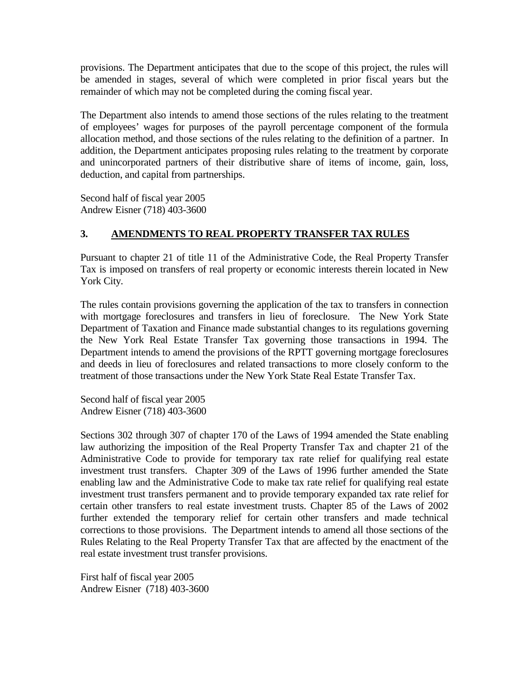provisions. The Department anticipates that due to the scope of this project, the rules will be amended in stages, several of which were completed in prior fiscal years but the remainder of which may not be completed during the coming fiscal year.

The Department also intends to amend those sections of the rules relating to the treatment of employees' wages for purposes of the payroll percentage component of the formula allocation method, and those sections of the rules relating to the definition of a partner. In addition, the Department anticipates proposing rules relating to the treatment by corporate and unincorporated partners of their distributive share of items of income, gain, loss, deduction, and capital from partnerships.

Second half of fiscal year 2005 Andrew Eisner (718) 403-3600

# **3. AMENDMENTS TO REAL PROPERTY TRANSFER TAX RULES**

Pursuant to chapter 21 of title 11 of the Administrative Code, the Real Property Transfer Tax is imposed on transfers of real property or economic interests therein located in New York City.

The rules contain provisions governing the application of the tax to transfers in connection with mortgage foreclosures and transfers in lieu of foreclosure. The New York State Department of Taxation and Finance made substantial changes to its regulations governing the New York Real Estate Transfer Tax governing those transactions in 1994. The Department intends to amend the provisions of the RPTT governing mortgage foreclosures and deeds in lieu of foreclosures and related transactions to more closely conform to the treatment of those transactions under the New York State Real Estate Transfer Tax.

Second half of fiscal year 2005 Andrew Eisner (718) 403-3600

Sections 302 through 307 of chapter 170 of the Laws of 1994 amended the State enabling law authorizing the imposition of the Real Property Transfer Tax and chapter 21 of the Administrative Code to provide for temporary tax rate relief for qualifying real estate investment trust transfers. Chapter 309 of the Laws of 1996 further amended the State enabling law and the Administrative Code to make tax rate relief for qualifying real estate investment trust transfers permanent and to provide temporary expanded tax rate relief for certain other transfers to real estate investment trusts. Chapter 85 of the Laws of 2002 further extended the temporary relief for certain other transfers and made technical corrections to those provisions. The Department intends to amend all those sections of the Rules Relating to the Real Property Transfer Tax that are affected by the enactment of the real estate investment trust transfer provisions.

First half of fiscal year 2005 Andrew Eisner (718) 403-3600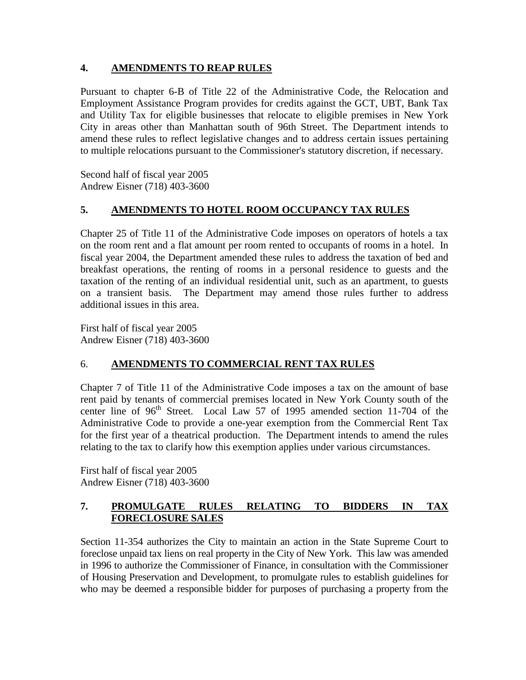#### **4. AMENDMENTS TO REAP RULES**

Pursuant to chapter 6-B of Title 22 of the Administrative Code, the Relocation and Employment Assistance Program provides for credits against the GCT, UBT, Bank Tax and Utility Tax for eligible businesses that relocate to eligible premises in New York City in areas other than Manhattan south of 96th Street. The Department intends to amend these rules to reflect legislative changes and to address certain issues pertaining to multiple relocations pursuant to the Commissioner's statutory discretion, if necessary.

Second half of fiscal year 2005 Andrew Eisner (718) 403-3600

# **5. AMENDMENTS TO HOTEL ROOM OCCUPANCY TAX RULES**

Chapter 25 of Title 11 of the Administrative Code imposes on operators of hotels a tax on the room rent and a flat amount per room rented to occupants of rooms in a hotel. In fiscal year 2004, the Department amended these rules to address the taxation of bed and breakfast operations, the renting of rooms in a personal residence to guests and the taxation of the renting of an individual residential unit, such as an apartment, to guests on a transient basis. The Department may amend those rules further to address additional issues in this area.

First half of fiscal year 2005 Andrew Eisner (718) 403-3600

# 6. **AMENDMENTS TO COMMERCIAL RENT TAX RULES**

Chapter 7 of Title 11 of the Administrative Code imposes a tax on the amount of base rent paid by tenants of commercial premises located in New York County south of the center line of  $96<sup>th</sup>$  Street. Local Law 57 of 1995 amended section 11-704 of the Administrative Code to provide a one-year exemption from the Commercial Rent Tax for the first year of a theatrical production. The Department intends to amend the rules relating to the tax to clarify how this exemption applies under various circumstances.

First half of fiscal year 2005 Andrew Eisner (718) 403-3600

### **7. PROMULGATE RULES RELATING TO BIDDERS IN TAX FORECLOSURE SALES**

Section 11-354 authorizes the City to maintain an action in the State Supreme Court to foreclose unpaid tax liens on real property in the City of New York. This law was amended in 1996 to authorize the Commissioner of Finance, in consultation with the Commissioner of Housing Preservation and Development, to promulgate rules to establish guidelines for who may be deemed a responsible bidder for purposes of purchasing a property from the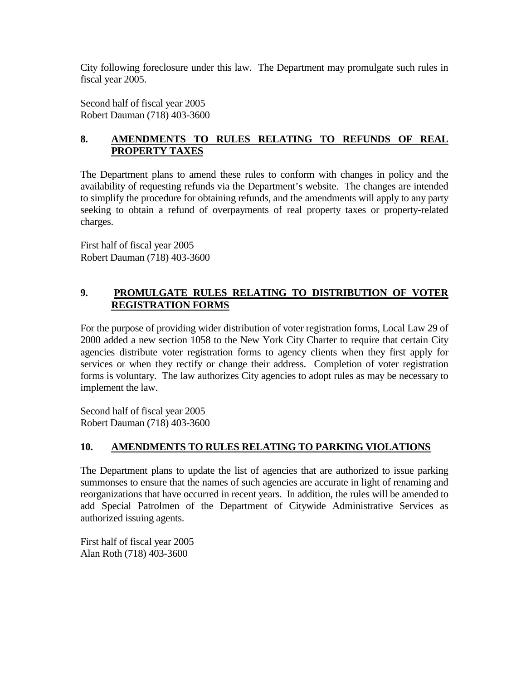City following foreclosure under this law. The Department may promulgate such rules in fiscal year 2005.

Second half of fiscal year 2005 Robert Dauman (718) 403-3600

# **8. AMENDMENTS TO RULES RELATING TO REFUNDS OF REAL PROPERTY TAXES**

The Department plans to amend these rules to conform with changes in policy and the availability of requesting refunds via the Department's website. The changes are intended to simplify the procedure for obtaining refunds, and the amendments will apply to any party seeking to obtain a refund of overpayments of real property taxes or property-related charges.

First half of fiscal year 2005 Robert Dauman (718) 403-3600

# **9. PROMULGATE RULES RELATING TO DISTRIBUTION OF VOTER REGISTRATION FORMS**

For the purpose of providing wider distribution of voter registration forms, Local Law 29 of 2000 added a new section 1058 to the New York City Charter to require that certain City agencies distribute voter registration forms to agency clients when they first apply for services or when they rectify or change their address. Completion of voter registration forms is voluntary. The law authorizes City agencies to adopt rules as may be necessary to implement the law.

Second half of fiscal year 2005 Robert Dauman (718) 403-3600

# **10. AMENDMENTS TO RULES RELATING TO PARKING VIOLATIONS**

The Department plans to update the list of agencies that are authorized to issue parking summonses to ensure that the names of such agencies are accurate in light of renaming and reorganizations that have occurred in recent years. In addition, the rules will be amended to add Special Patrolmen of the Department of Citywide Administrative Services as authorized issuing agents.

First half of fiscal year 2005 Alan Roth (718) 403-3600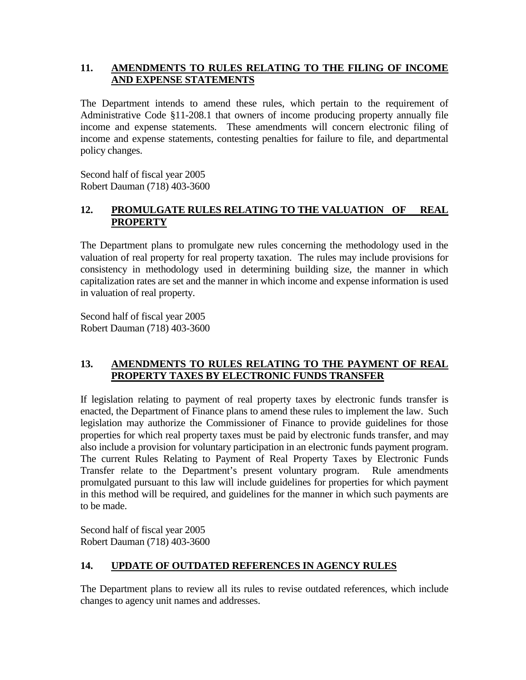#### **11. AMENDMENTS TO RULES RELATING TO THE FILING OF INCOME AND EXPENSE STATEMENTS**

The Department intends to amend these rules, which pertain to the requirement of Administrative Code §11-208.1 that owners of income producing property annually file income and expense statements. These amendments will concern electronic filing of income and expense statements, contesting penalties for failure to file, and departmental policy changes.

Second half of fiscal year 2005 Robert Dauman (718) 403-3600

#### **12. PROMULGATE RULES RELATING TO THE VALUATION OF REAL PROPERTY**

The Department plans to promulgate new rules concerning the methodology used in the valuation of real property for real property taxation. The rules may include provisions for consistency in methodology used in determining building size, the manner in which capitalization rates are set and the manner in which income and expense information is used in valuation of real property.

Second half of fiscal year 2005 Robert Dauman (718) 403-3600

#### **13. AMENDMENTS TO RULES RELATING TO THE PAYMENT OF REAL PROPERTY TAXES BY ELECTRONIC FUNDS TRANSFER**

If legislation relating to payment of real property taxes by electronic funds transfer is enacted, the Department of Finance plans to amend these rules to implement the law. Such legislation may authorize the Commissioner of Finance to provide guidelines for those properties for which real property taxes must be paid by electronic funds transfer, and may also include a provision for voluntary participation in an electronic funds payment program. The current Rules Relating to Payment of Real Property Taxes by Electronic Funds Transfer relate to the Department's present voluntary program. Rule amendments promulgated pursuant to this law will include guidelines for properties for which payment in this method will be required, and guidelines for the manner in which such payments are to be made.

Second half of fiscal year 2005 Robert Dauman (718) 403-3600

# **14. UPDATE OF OUTDATED REFERENCES IN AGENCY RULES**

The Department plans to review all its rules to revise outdated references, which include changes to agency unit names and addresses.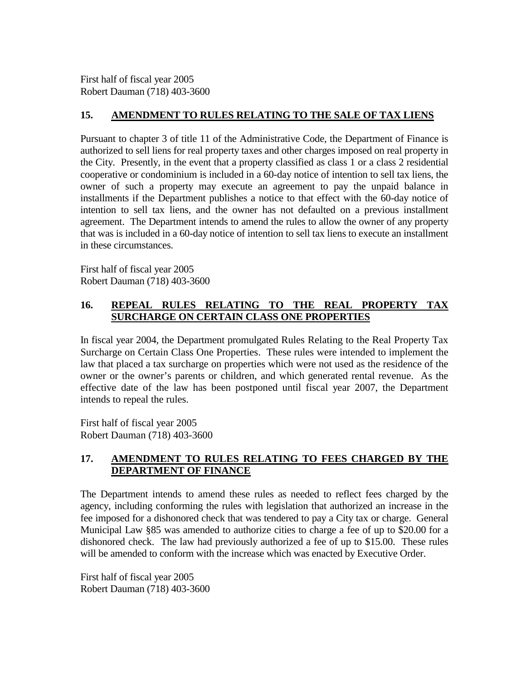First half of fiscal year 2005 Robert Dauman (718) 403-3600

#### **15. AMENDMENT TO RULES RELATING TO THE SALE OF TAX LIENS**

Pursuant to chapter 3 of title 11 of the Administrative Code, the Department of Finance is authorized to sell liens for real property taxes and other charges imposed on real property in the City. Presently, in the event that a property classified as class 1 or a class 2 residential cooperative or condominium is included in a 60-day notice of intention to sell tax liens, the owner of such a property may execute an agreement to pay the unpaid balance in installments if the Department publishes a notice to that effect with the 60-day notice of intention to sell tax liens, and the owner has not defaulted on a previous installment agreement. The Department intends to amend the rules to allow the owner of any property that was is included in a 60-day notice of intention to sell tax liens to execute an installment in these circumstances.

First half of fiscal year 2005 Robert Dauman (718) 403-3600

### **16. REPEAL RULES RELATING TO THE REAL PROPERTY TAX SURCHARGE ON CERTAIN CLASS ONE PROPERTIES**

In fiscal year 2004, the Department promulgated Rules Relating to the Real Property Tax Surcharge on Certain Class One Properties. These rules were intended to implement the law that placed a tax surcharge on properties which were not used as the residence of the owner or the owner's parents or children, and which generated rental revenue. As the effective date of the law has been postponed until fiscal year 2007, the Department intends to repeal the rules.

First half of fiscal year 2005 Robert Dauman (718) 403-3600

#### **17. AMENDMENT TO RULES RELATING TO FEES CHARGED BY THE DEPARTMENT OF FINANCE**

The Department intends to amend these rules as needed to reflect fees charged by the agency, including conforming the rules with legislation that authorized an increase in the fee imposed for a dishonored check that was tendered to pay a City tax or charge. General Municipal Law §85 was amended to authorize cities to charge a fee of up to \$20.00 for a dishonored check. The law had previously authorized a fee of up to \$15.00. These rules will be amended to conform with the increase which was enacted by Executive Order.

First half of fiscal year 2005 Robert Dauman (718) 403-3600